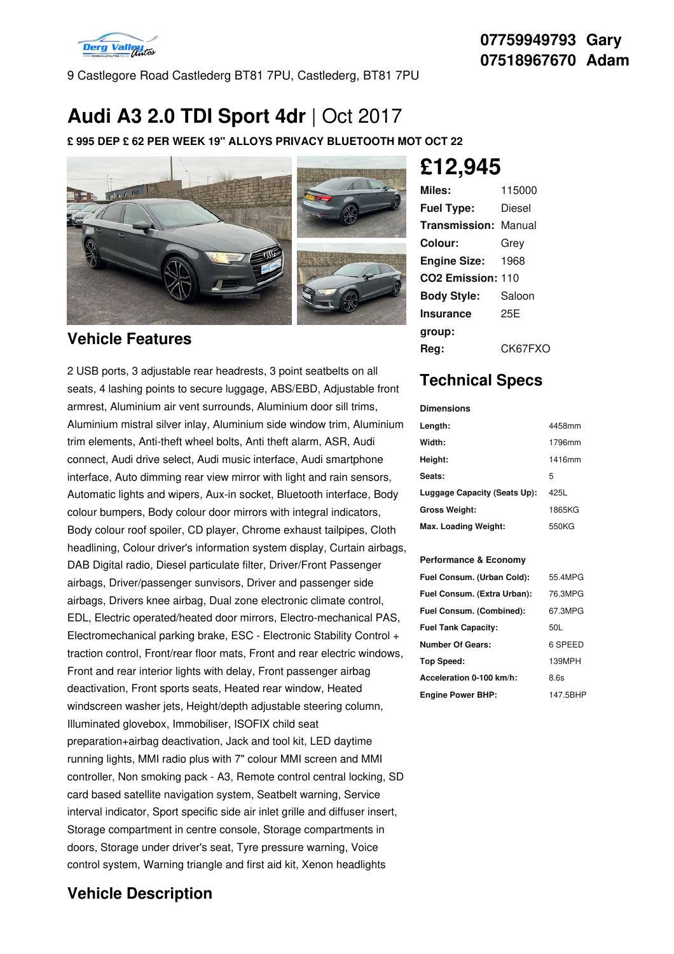

9 Castlegore Road Castlederg BT81 7PU, Castlederg, BT81 7PU

# **Audi A3 2.0 TDI Sport 4dr** |Oct 2017

**£ 995 DEP £ 62 PER WEEK 19" ALLOYS PRIVACY BLUETOOTH MOT OCT 22**



### **Vehicle Features**

2 USB ports, 3 adjustable rear headrests, 3 point seatbelts on all seats, 4 lashing points to secure luggage, ABS/EBD, Adjustable front armrest, Aluminium air vent surrounds, Aluminium door sill trims, Aluminium mistral silver inlay, Aluminium side window trim, Aluminium trim elements, Anti-theft wheel bolts, Anti theft alarm, ASR, Audi connect, Audi drive select, Audi music interface, Audi smartphone interface, Auto dimming rear view mirror with light and rain sensors, Automatic lights and wipers, Aux-in socket, Bluetooth interface, Body colour bumpers, Body colour door mirrors with integral indicators, Body colour roof spoiler, CD player, Chrome exhaust tailpipes, Cloth headlining, Colour driver's information system display, Curtain airbags, DAB Digital radio, Diesel particulate filter, Driver/Front Passenger airbags, Driver/passenger sunvisors, Driver and passenger side airbags, Drivers knee airbag, Dual zone electronic climate control, EDL, Electric operated/heated door mirrors, Electro-mechanical PAS, Electromechanical parking brake, ESC - Electronic Stability Control + traction control, Front/rear floor mats, Front and rear electric windows, Front and rear interior lights with delay, Front passenger airbag deactivation, Front sports seats, Heated rear window, Heated windscreen washer jets, Height/depth adjustable steering column, Illuminated glovebox, Immobiliser, ISOFIX child seat preparation+airbag deactivation, Jack and tool kit, LED daytime running lights, MMI radio plus with 7" colour MMI screen and MMI controller, Non smoking pack - A3, Remote control central locking, SD card based satellite navigation system, Seatbelt warning, Service interval indicator, Sport specific side air inlet grille and diffuser insert, Storage compartment in centre console, Storage compartments in doors, Storage under driver's seat, Tyre pressure warning, Voice control system, Warning triangle and first aid kit, Xenon headlights

### **Vehicle Description**

**£12,945**

| Miles:                        | 115000  |
|-------------------------------|---------|
| <b>Fuel Type:</b>             | Diesel  |
| <b>Transmission: Manual</b>   |         |
| Colour:                       | Grey    |
| Engine Size:                  | 1968    |
| CO <sub>2</sub> Emission: 110 |         |
| <b>Body Style:</b>            | Saloon  |
| <b>Insurance</b>              | 25E     |
| group:                        |         |
| Rea:                          | CK67FXO |

## **Technical Specs**

#### **Dimensions**

| Length:                      | 4458mm |
|------------------------------|--------|
| Width:                       | 1796mm |
| Height:                      | 1416mm |
| Seats:                       | 5      |
| Luggage Capacity (Seats Up): | 425L   |
| <b>Gross Weight:</b>         | 1865KG |
| Max. Loading Weight:         | 550KG  |

#### **Performance & Economy**

| Fuel Consum. (Urban Cold):  | 55 4MPG  |
|-----------------------------|----------|
|                             |          |
| Fuel Consum. (Extra Urban): | 76.3MPG  |
| Fuel Consum. (Combined):    | 67.3MPG  |
| <b>Fuel Tank Capacity:</b>  | 50L      |
| <b>Number Of Gears:</b>     | 6 SPEED  |
| <b>Top Speed:</b>           | 139MPH   |
| Acceleration 0-100 km/h:    | 8.6s     |
| <b>Engine Power BHP:</b>    | 147.5BHP |